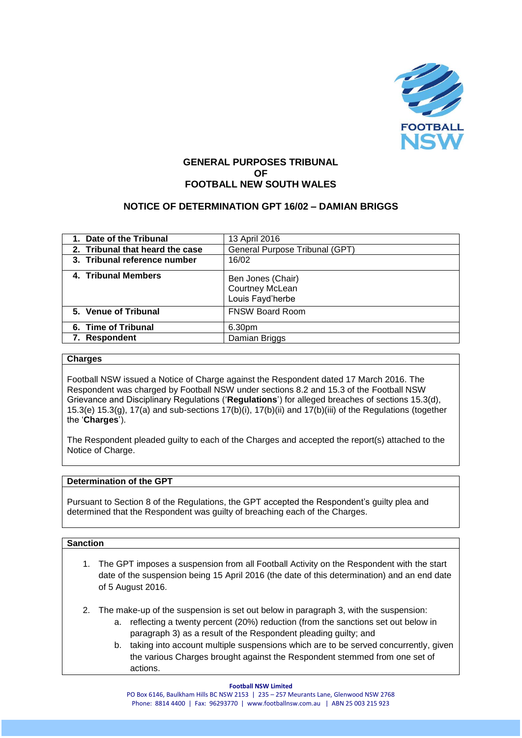

# **GENERAL PURPOSES TRIBUNAL OF FOOTBALL NEW SOUTH WALES**

# **NOTICE OF DETERMINATION GPT 16/02 – DAMIAN BRIGGS**

| 1. Date of the Tribunal         | 13 April 2016                                            |
|---------------------------------|----------------------------------------------------------|
| 2. Tribunal that heard the case | General Purpose Tribunal (GPT)                           |
| 3. Tribunal reference number    | 16/02                                                    |
| 4. Tribunal Members             | Ben Jones (Chair)<br>Courtney McLean<br>Louis Fayd'herbe |
| 5. Venue of Tribunal            | <b>FNSW Board Room</b>                                   |
| 6. Time of Tribunal             | 6.30pm                                                   |
| 7. Respondent                   | Damian Briggs                                            |
|                                 |                                                          |

#### **Charges**

Football NSW issued a Notice of Charge against the Respondent dated 17 March 2016. The Respondent was charged by Football NSW under sections 8.2 and 15.3 of the Football NSW Grievance and Disciplinary Regulations ('**Regulations**') for alleged breaches of sections 15.3(d), 15.3(e) 15.3(g), 17(a) and sub-sections 17(b)(i), 17(b)(ii) and 17(b)(iii) of the Regulations (together the '**Charges**').

The Respondent pleaded guilty to each of the Charges and accepted the report(s) attached to the Notice of Charge.

## **Determination of the GPT**

Pursuant to Section 8 of the Regulations, the GPT accepted the Respondent's guilty plea and determined that the Respondent was guilty of breaching each of the Charges.

#### **Sanction**

- 1. The GPT imposes a suspension from all Football Activity on the Respondent with the start date of the suspension being 15 April 2016 (the date of this determination) and an end date of 5 August 2016.
- 2. The make-up of the suspension is set out below in paragraph 3, with the suspension:
	- a. reflecting a twenty percent (20%) reduction (from the sanctions set out below in paragraph 3) as a result of the Respondent pleading guilty; and
	- b. taking into account multiple suspensions which are to be served concurrently, given the various Charges brought against the Respondent stemmed from one set of actions.

#### **Football NSW Limited**